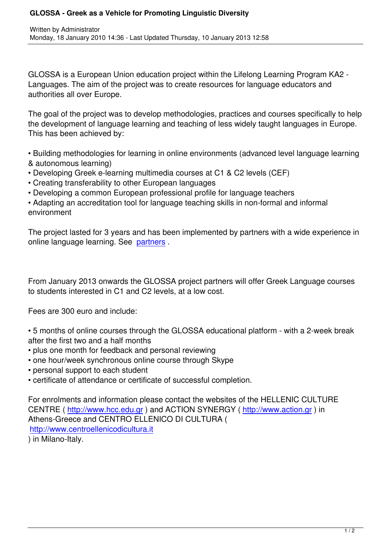GLOSSA is a European Union education project within the Lifelong Learning Program KA2 - Languages. The aim of the project was to create resources for language educators and authorities all over Europe.

The goal of the project was to develop methodologies, practices and courses specifically to help the development of language learning and teaching of less widely taught languages in Europe. This has been achieved by:

• Building methodologies for learning in online environments (advanced level language learning & autonomous learning)

- Developing Greek e-learning multimedia courses at C1 & C2 levels (CEF)
- Creating transferability to other European languages
- Developing a common European professional profile for language teachers

• Adapting an accreditation tool for language teaching skills in non-formal and informal environment

The project lasted for 3 years and has been implemented by partners with a wide experience in online language learning. See partners .

From January 2013 onwards t[he GLOS](index.php?option=com_content&view=category&layout=blog&id=30&Itemid=37&phpMyAdmin=427e455d8b0e4f670266113db1cdee0f)SA project partners will offer Greek Language courses to students interested in C1 and C2 levels, at a low cost.

Fees are 300 euro and include:

- 5 months of online courses through the GLOSSA educational platform with a 2-week break after the first two and a half months
- plus one month for feedback and personal reviewing
- one hour/week synchronous online course through Skype
- personal support to each student
- certificate of attendance or certificate of successful completion.

For enrolments and information please contact the websites of the HELLENIC CULTURE CENTRE ( http://www.hcc.edu.gr ) and ACTION SYNERGY ( http://www.action.gr ) in Athens-Greece and CENTRO ELLENICO DI CULTURA ( http://www.centroellenicodicultura.it ) in Milano-[Italy.](http://www.hcc.edu.gr)